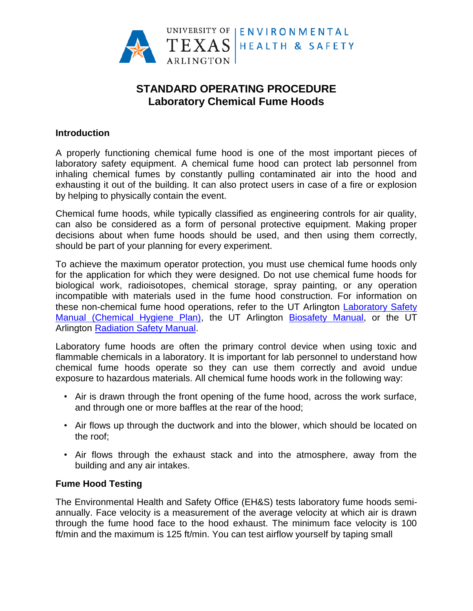

# **STANDARD OPERATING PROCEDURE Laboratory Chemical Fume Hoods**

#### **Introduction**

A properly functioning chemical fume hood is one of the most important pieces of laboratory safety equipment. A chemical fume hood can protect lab personnel from inhaling chemical fumes by constantly pulling contaminated air into the hood and exhausting it out of the building. It can also protect users in case of a fire or explosion by helping to physically contain the event.

Chemical fume hoods, while typically classified as engineering controls for air quality, can also be considered as a form of personal protective equipment. Making proper decisions about when fume hoods should be used, and then using them correctly, should be part of your planning for every experiment.

To achieve the maximum operator protection, you must use chemical fume hoods only for the application for which they were designed. Do not use chemical fume hoods for biological work, radioisotopes, chemical storage, spray painting, or any operation incompatible with materials used in the fume hood construction. For information on these non-chemical fume hood operations, refer to the UT Arlington [Laboratory Safety](http://www.uta.edu/campus-ops/ehs/chemical/docs/lab-safety-manual.pdf)  [Manual \(Chemical Hygiene Plan\),](http://www.uta.edu/campus-ops/ehs/chemical/docs/lab-safety-manual.pdf) the UT Arlington [Biosafety Manual,](http://www.uta.edu/campus-ops/ehs/biological/docs/biosafety-manual.pdf) or the UT Arlington [Radiation Safety Manual.](http://www.uta.edu/campus-ops/ehs/radiation/docs/radiation-safety-manual.pdf)

Laboratory fume hoods are often the primary control device when using toxic and flammable chemicals in a laboratory. It is important for lab personnel to understand how chemical fume hoods operate so they can use them correctly and avoid undue exposure to hazardous materials. All chemical fume hoods work in the following way:

- Air is drawn through the front opening of the fume hood, across the work surface, and through one or more baffles at the rear of the hood;
- Air flows up through the ductwork and into the blower, which should be located on the roof;
- Air flows through the exhaust stack and into the atmosphere, away from the building and any air intakes.

## **Fume Hood Testing**

The Environmental Health and Safety Office (EH&S) tests laboratory fume hoods semiannually. Face velocity is a measurement of the average velocity at which air is drawn through the fume hood face to the hood exhaust. The minimum face velocity is 100 ft/min and the maximum is 125 ft/min. You can test airflow yourself by taping small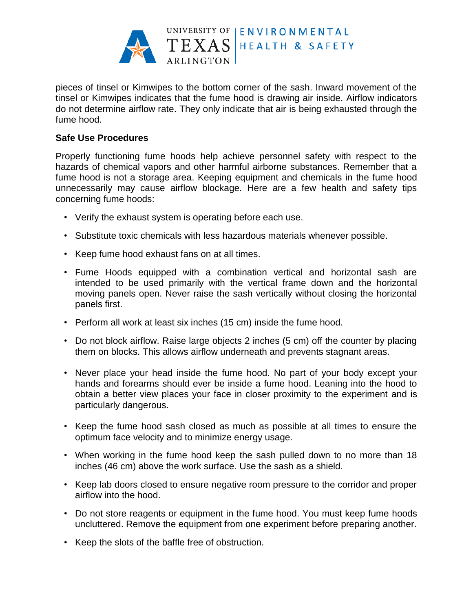

pieces of tinsel or Kimwipes to the bottom corner of the sash. Inward movement of the tinsel or Kimwipes indicates that the fume hood is drawing air inside. Airflow indicators do not determine airflow rate. They only indicate that air is being exhausted through the fume hood.

### **Safe Use Procedures**

Properly functioning fume hoods help achieve personnel safety with respect to the hazards of chemical vapors and other harmful airborne substances. Remember that a fume hood is not a storage area. Keeping equipment and chemicals in the fume hood unnecessarily may cause airflow blockage. Here are a few health and safety tips concerning fume hoods:

- Verify the exhaust system is operating before each use.
- Substitute toxic chemicals with less hazardous materials whenever possible.
- Keep fume hood exhaust fans on at all times.
- Fume Hoods equipped with a combination vertical and horizontal sash are intended to be used primarily with the vertical frame down and the horizontal moving panels open. Never raise the sash vertically without closing the horizontal panels first.
- Perform all work at least six inches (15 cm) inside the fume hood.
- Do not block airflow. Raise large objects 2 inches (5 cm) off the counter by placing them on blocks. This allows airflow underneath and prevents stagnant areas.
- Never place your head inside the fume hood. No part of your body except your hands and forearms should ever be inside a fume hood. Leaning into the hood to obtain a better view places your face in closer proximity to the experiment and is particularly dangerous.
- Keep the fume hood sash closed as much as possible at all times to ensure the optimum face velocity and to minimize energy usage.
- When working in the fume hood keep the sash pulled down to no more than 18 inches (46 cm) above the work surface. Use the sash as a shield.
- Keep lab doors closed to ensure negative room pressure to the corridor and proper airflow into the hood.
- Do not store reagents or equipment in the fume hood. You must keep fume hoods uncluttered. Remove the equipment from one experiment before preparing another.
- Keep the slots of the baffle free of obstruction.